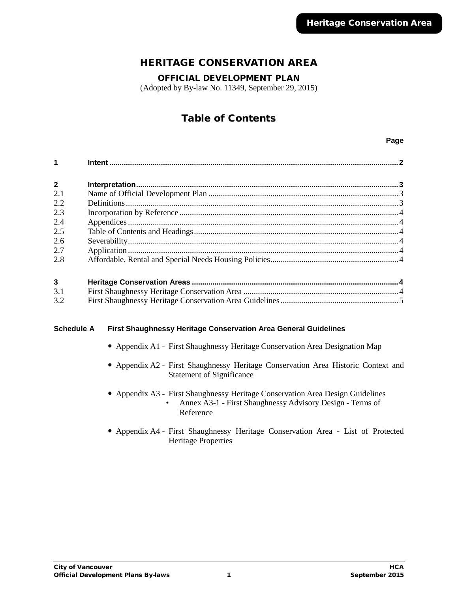# HERITAGE CONSERVATION AREA

OFFICIAL DEVELOPMENT PLAN

(Adopted by By-law No. 11349, September 29, 2015)

# Table of Contents

#### **Page**

| $\overline{2}$          |  |
|-------------------------|--|
| 2.1                     |  |
| 2.2                     |  |
| 2.3                     |  |
| 2.4                     |  |
| 2.5                     |  |
| 2.6                     |  |
| 2.7                     |  |
| 2.8                     |  |
|                         |  |
| $\overline{\mathbf{3}}$ |  |
| 31                      |  |

| 3.1 |  |
|-----|--|
| 3.2 |  |

# **Schedule A First Shaughnessy Heritage Conservation Area General Guidelines**

- Appendix A1 First Shaughnessy Heritage Conservation Area Designation Map
- Appendix A2 First Shaughnessy Heritage Conservation Area Historic Context and Statement of Significance
- Appendix A3 First Shaughnessy Heritage Conservation Area Design Guidelines • Annex A3-1 - First Shaughnessy Advisory Design - Terms of Reference
- Appendix A4 First Shaughnessy Heritage Conservation Area List of Protected Heritage Properties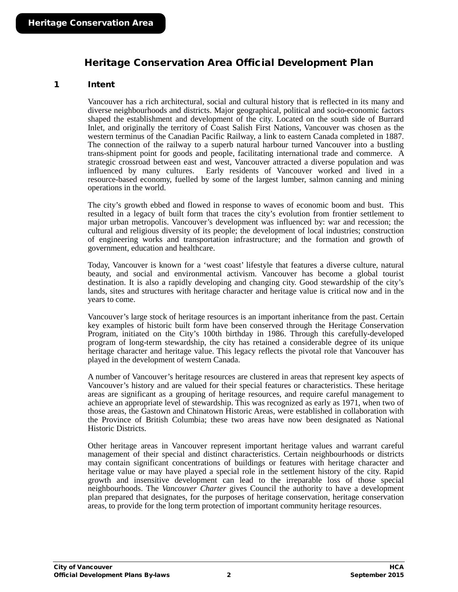# Heritage Conservation Area Official Development Plan

# <span id="page-1-0"></span>1 Intent

Vancouver has a rich architectural, social and cultural history that is reflected in its many and diverse neighbourhoods and districts. Major geographical, political and socio-economic factors shaped the establishment and development of the city. Located on the south side of Burrard Inlet, and originally the territory of Coast Salish First Nations, Vancouver was chosen as the western terminus of the Canadian Pacific Railway, a link to eastern Canada completed in 1887. The connection of the railway to a superb natural harbour turned Vancouver into a bustling trans-shipment point for goods and people, facilitating international trade and commerce. A strategic crossroad between east and west, Vancouver attracted a diverse population and was influenced by many cultures. Early residents of Vancouver worked and lived in a resource-based economy, fuelled by some of the largest lumber, salmon canning and mining operations in the world.

The city's growth ebbed and flowed in response to waves of economic boom and bust. This resulted in a legacy of built form that traces the city's evolution from frontier settlement to major urban metropolis. Vancouver's development was influenced by: war and recession; the cultural and religious diversity of its people; the development of local industries; construction of engineering works and transportation infrastructure; and the formation and growth of government, education and healthcare.

Today, Vancouver is known for a 'west coast' lifestyle that features a diverse culture, natural beauty, and social and environmental activism. Vancouver has become a global tourist destination. It is also a rapidly developing and changing city. Good stewardship of the city's lands, sites and structures with heritage character and heritage value is critical now and in the years to come.

Vancouver's large stock of heritage resources is an important inheritance from the past. Certain key examples of historic built form have been conserved through the Heritage Conservation Program, initiated on the City's 100th birthday in 1986. Through this carefully-developed program of long-term stewardship, the city has retained a considerable degree of its unique heritage character and heritage value. This legacy reflects the pivotal role that Vancouver has played in the development of western Canada.

A number of Vancouver's heritage resources are clustered in areas that represent key aspects of Vancouver's history and are valued for their special features or characteristics. These heritage areas are significant as a grouping of heritage resources, and require careful management to achieve an appropriate level of stewardship. This was recognized as early as 1971, when two of those areas, the Gastown and Chinatown Historic Areas, were established in collaboration with the Province of British Columbia; these two areas have now been designated as National Historic Districts.

Other heritage areas in Vancouver represent important heritage values and warrant careful management of their special and distinct characteristics. Certain neighbourhoods or districts may contain significant concentrations of buildings or features with heritage character and heritage value or may have played a special role in the settlement history of the city. Rapid growth and insensitive development can lead to the irreparable loss of those special neighbourhoods. The *Vancouver Charter* gives Council the authority to have a development plan prepared that designates, for the purposes of heritage conservation, heritage conservation areas, to provide for the long term protection of important community heritage resources.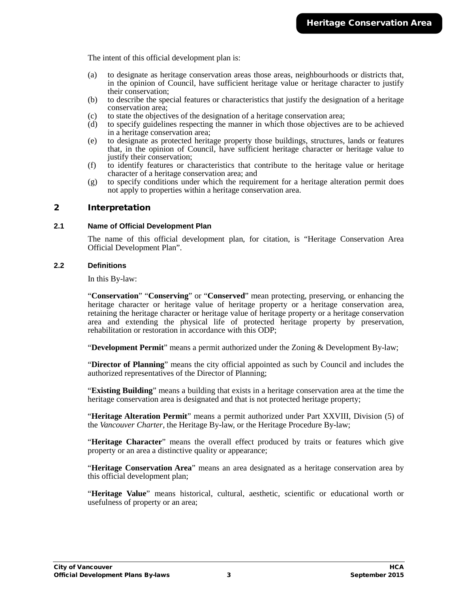The intent of this official development plan is:

- (a) to designate as heritage conservation areas those areas, neighbourhoods or districts that, in the opinion of Council, have sufficient heritage value or heritage character to justify their conservation;
- (b) to describe the special features or characteristics that justify the designation of a heritage conservation area;
- (c) to state the objectives of the designation of a heritage conservation area;<br>(d) to specify guidelines respecting the manner in which those objectives and
- (d) to specify guidelines respecting the manner in which those objectives are to be achieved in a heritage conservation area;
- (e) to designate as protected heritage property those buildings, structures, lands or features that, in the opinion of Council, have sufficient heritage character or heritage value to justify their conservation;
- (f) to identify features or characteristics that contribute to the heritage value or heritage character of a heritage conservation area; and
- (g) to specify conditions under which the requirement for a heritage alteration permit does not apply to properties within a heritage conservation area.

# <span id="page-2-0"></span>2 Interpretation

#### <span id="page-2-1"></span>**2.1 Name of Official Development Plan**

The name of this official development plan, for citation, is "Heritage Conservation Area Official Development Plan".

#### <span id="page-2-2"></span>**2.2 Definitions**

In this By-law:

"**Conservation**" "**Conserving**" or "**Conserved**" mean protecting, preserving, or enhancing the heritage character or heritage value of heritage property or a heritage conservation area, retaining the heritage character or heritage value of heritage property or a heritage conservation area and extending the physical life of protected heritage property by preservation, rehabilitation or restoration in accordance with this ODP;

"**Development Permit**" means a permit authorized under the Zoning & Development By-law;

"**Director of Planning**" means the city official appointed as such by Council and includes the authorized representatives of the Director of Planning;

"**Existing Building**" means a building that exists in a heritage conservation area at the time the heritage conservation area is designated and that is not protected heritage property;

"**Heritage Alteration Permit**" means a permit authorized under Part XXVIII, Division (5) of the *Vancouver Charter*, the Heritage By-law, or the Heritage Procedure By-law;

"**Heritage Character**" means the overall effect produced by traits or features which give property or an area a distinctive quality or appearance;

"**Heritage Conservation Area**" means an area designated as a heritage conservation area by this official development plan;

"**Heritage Value**" means historical, cultural, aesthetic, scientific or educational worth or usefulness of property or an area;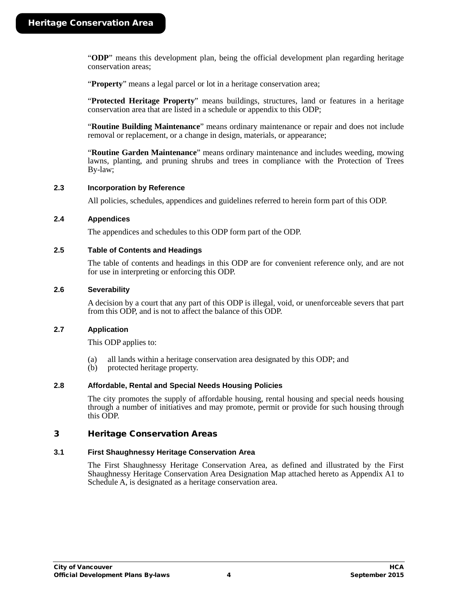"**ODP**" means this development plan, being the official development plan regarding heritage conservation areas;

"**Property**" means a legal parcel or lot in a heritage conservation area;

"**Protected Heritage Property**" means buildings, structures, land or features in a heritage conservation area that are listed in a schedule or appendix to this ODP;

"**Routine Building Maintenance**" means ordinary maintenance or repair and does not include removal or replacement, or a change in design, materials, or appearance;

"**Routine Garden Maintenance**" means ordinary maintenance and includes weeding, mowing lawns, planting, and pruning shrubs and trees in compliance with the Protection of Trees By-law;

#### <span id="page-3-0"></span>**2.3 Incorporation by Reference**

All policies, schedules, appendices and guidelines referred to herein form part of this ODP.

#### <span id="page-3-1"></span>**2.4 Appendices**

The appendices and schedules to this ODP form part of the ODP.

#### <span id="page-3-2"></span>**2.5 Table of Contents and Headings**

The table of contents and headings in this ODP are for convenient reference only, and are not for use in interpreting or enforcing this ODP.

#### <span id="page-3-3"></span>**2.6 Severability**

A decision by a court that any part of this ODP is illegal, void, or unenforceable severs that part from this ODP, and is not to affect the balance of this ODP.

#### <span id="page-3-4"></span>**2.7 Application**

This ODP applies to:

- (a) all lands within a heritage conservation area designated by this ODP; and
- (b) protected heritage property.

## <span id="page-3-5"></span>**2.8 Affordable, Rental and Special Needs Housing Policies**

The city promotes the supply of affordable housing, rental housing and special needs housing through a number of initiatives and may promote, permit or provide for such housing through this ODP.

## <span id="page-3-6"></span>3 Heritage Conservation Areas

## <span id="page-3-7"></span>**3.1 First Shaughnessy Heritage Conservation Area**

The First Shaughnessy Heritage Conservation Area, as defined and illustrated by the First Shaughnessy Heritage Conservation Area Designation Map attached hereto as Appendix A1 to Schedule A, is designated as a heritage conservation area.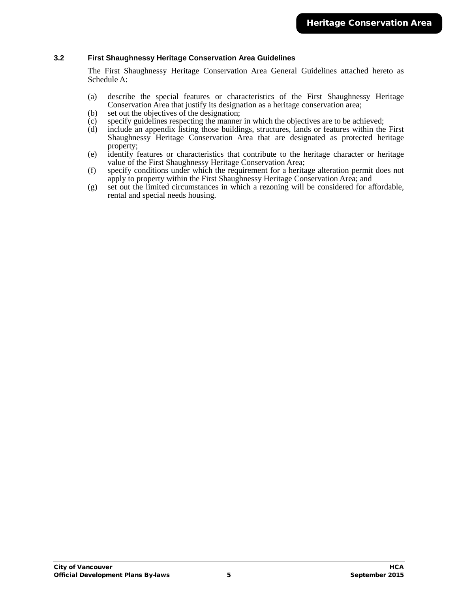#### <span id="page-4-0"></span>**3.2 First Shaughnessy Heritage Conservation Area Guidelines**

The First Shaughnessy Heritage Conservation Area General Guidelines attached hereto as Schedule A:

- (a) describe the special features or characteristics of the First Shaughnessy Heritage Conservation Area that justify its designation as a heritage conservation area;
- (b) set out the objectives of the designation;
- (c) specify guidelines respecting the manner in which the objectives are to be achieved;
- (d) include an appendix listing those buildings, structures, lands or features within the First Shaughnessy Heritage Conservation Area that are designated as protected heritage property;
- (e) identify features or characteristics that contribute to the heritage character or heritage value of the First Shaughnessy Heritage Conservation Area;
- (f) specify conditions under which the requirement for a heritage alteration permit does not apply to property within the First Shaughnessy Heritage Conservation Area; and
- (g) set out the limited circumstances in which a rezoning will be considered for affordable, rental and special needs housing.